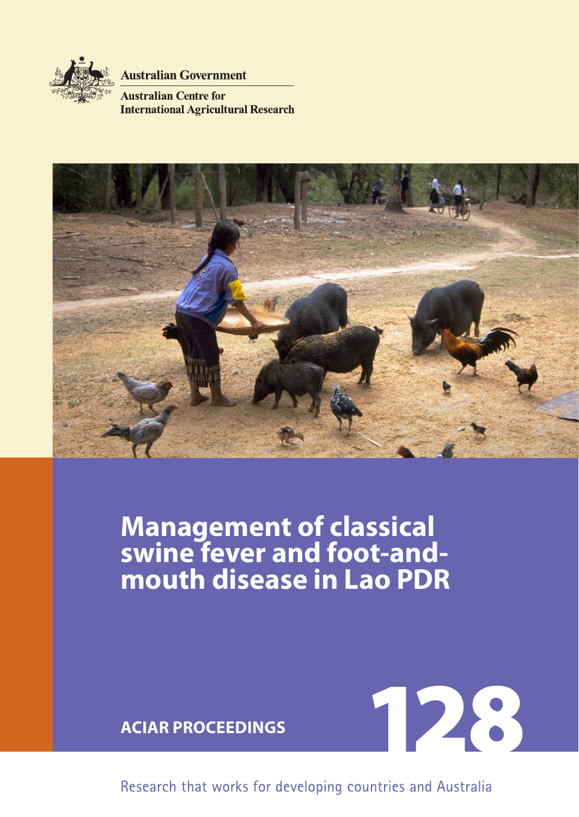

**Australian Government** 

**Australian Centre for International Agricultural Research** 



# **Management of classical swine fever and foot-and**mouth disease in Lao PD



Research that works for developing countries and Australia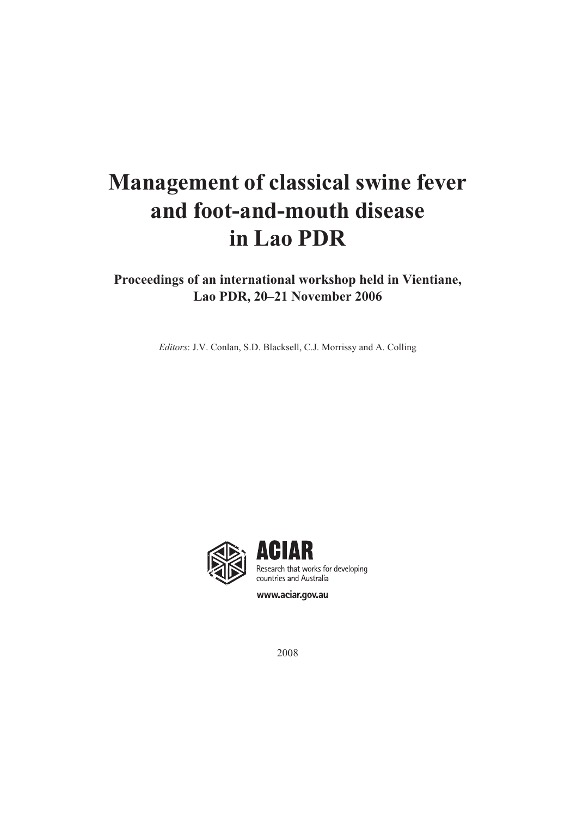# **Management of classical swine fever and foot-and-mouth disease in Lao PDR**

## **Proceedings of an international workshop held in Vientiane, Lao PDR, 20–21 November 2006**

*Editors*: J.V. Conlan, S.D. Blacksell, C.J. Morrissy and A. Colling



www.aciar.gov.au

2008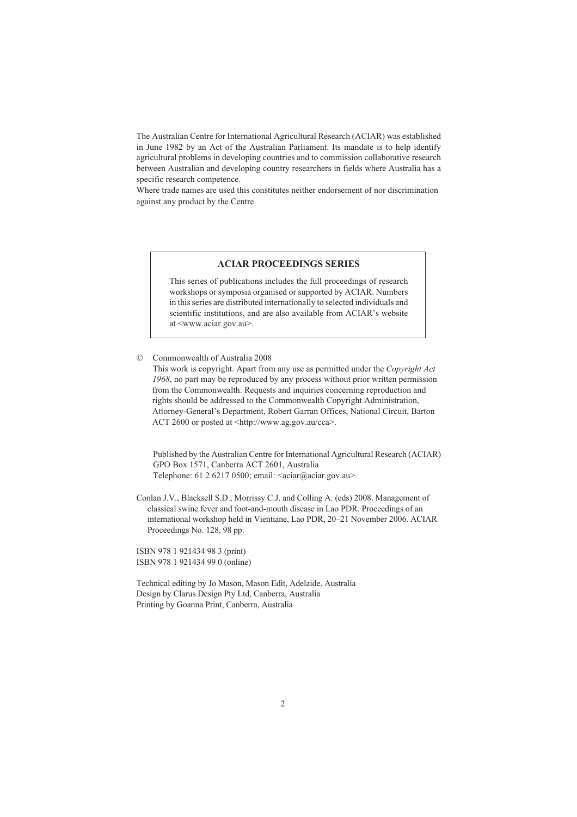The Australian Centre for International Agricultural Research (ACIAR) was established in June 1982 by an Act of the Australian Parliament. Its mandate is to help identify agricultural problems in developing countries and to commission collaborative research between Australian and developing country researchers in fields where Australia has a specific research competence.

Where trade names are used this constitutes neither endorsement of nor discrimination against any product by the Centre.

#### **ACIAR PROCEEDINGS SERIES**

This series of publications includes the full proceedings of research workshops or symposia organised or supported by ACIAR. Numbers in this series are distributed internationally to selected individuals and scientific institutions, and are also available from ACIAR's website at <www.aciar.gov.au>.

© Commonwealth of Australia 2008

This work is copyright. Apart from any use as permitted under the *Copyright Act 1968*[, no part may be reproduced by any process without prior written permission](http://www.ag.gov.au/cca)  from the Commonwealth. Requests and inquiries concerning reproduction and rights should be addressed to the Commonwealth Copyright Administration, [Attorney-General's Department, Robert Garran Offices, National Circuit, Barton](http://www.ag.gov.au/cca)  ACT 2600 or posted at <http://www.ag.gov.au/cca>.

Published by the Australian Centre for International Agricultural Research (ACIAR) GPO Box 1571, Canberra ACT 2601, Australia [Telephone: 61 2 6217 0500; email: <aciar@aciar.gov.au>](mailto:aciar@aciar.gov.au)

Conlan J.V., Blacksell S.D., Morrissy C.J. and Colling A. (eds) 2008. Management of classical swine fever and foot-and-mouth disease in Lao PDR. Proceedings of an international workshop held in Vientiane, Lao PDR, 20–21 November 2006. ACIAR Proceedings No. 128, 98 pp.

ISBN 978 1 921434 98 3 (print) ISBN 978 1 921434 99 0 (online)

Technical editing by Jo Mason, Mason Edit, Adelaide, Australia Design by Clarus Design Pty Ltd, Canberra, Australia Printing by Goanna Print, Canberra, Australia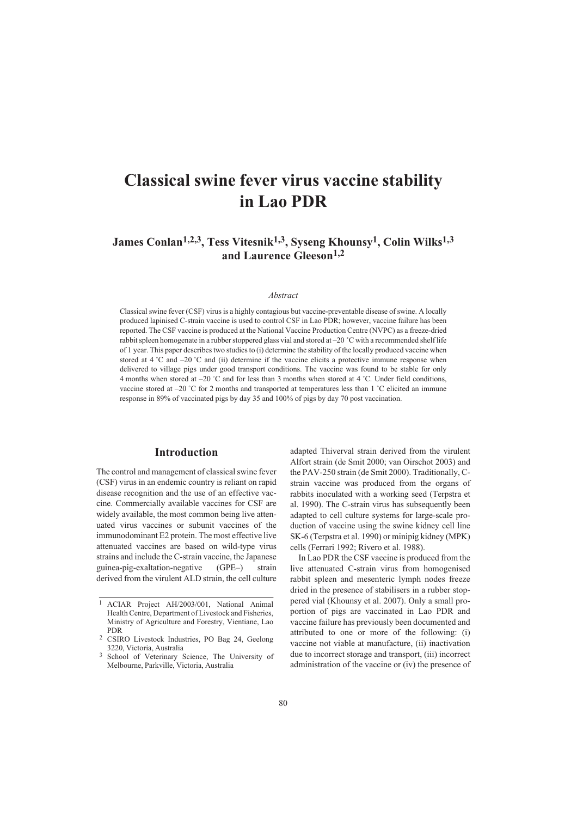## **Classical swine fever virus vaccine stability in Lao PDR**

### James Conlan<sup>1,2,3</sup>, Tess Vitesnik<sup>1,3</sup>, Syseng Khounsy<sup>1</sup>, Colin Wilks<sup>1,3</sup> **and Laurence Gleeson1,2**

#### *Abstract*

Classical swine fever (CSF) virus is a highly contagious but vaccine-preventable disease of swine. A locally produced lapinised C-strain vaccine is used to control CSF in Lao PDR; however, vaccine failure has been reported. The CSF vaccine is produced at the National Vaccine Production Centre (NVPC) as a freeze-dried rabbit spleen homogenate in a rubber stoppered glass vial and stored at –20 ˚C with a recommended shelf life of 1 year. This paper describes two studies to (i) determine the stability of the locally produced vaccine when stored at  $4\degree$ C and  $-20\degree$ C and (ii) determine if the vaccine elicits a protective immune response when delivered to village pigs under good transport conditions. The vaccine was found to be stable for only 4 months when stored at  $-20$  °C and for less than 3 months when stored at 4 °C. Under field conditions, vaccine stored at  $-20$  °C for 2 months and transported at temperatures less than 1 °C elicited an immune response in 89% of vaccinated pigs by day 35 and 100% of pigs by day 70 post vaccination.

#### **Introduction**

The control and management of classical swine fever (CSF) virus in an endemic country is reliant on rapid disease recognition and the use of an effective vaccine. Commercially available vaccines for CSF are widely available, the most common being live attenuated virus vaccines or subunit vaccines of the immunodominant E2 protein. The most effective live attenuated vaccines are based on wild-type virus strains and include the C-strain vaccine, the Japanese guinea-pig-exaltation-negative (GPE–) strain derived from the virulent ALD strain, the cell culture adapted Thiverval strain derived from the virulent Alfort strain (de Smit 2000; van Oirschot 2003) and the PAV-250 strain (de Smit 2000). Traditionally, Cstrain vaccine was produced from the organs of rabbits inoculated with a working seed (Terpstra et al. 1990). The C-strain virus has subsequently been adapted to cell culture systems for large-scale production of vaccine using the swine kidney cell line SK-6 (Terpstra et al. 1990) or minipig kidney (MPK) cells (Ferrari 1992; Rivero et al. 1988).

In Lao PDR the CSF vaccine is produced from the live attenuated C-strain virus from homogenised rabbit spleen and mesenteric lymph nodes freeze dried in the presence of stabilisers in a rubber stoppered vial (Khounsy et al. 2007). Only a small proportion of pigs are vaccinated in Lao PDR and vaccine failure has previously been documented and attributed to one or more of the following: (i) vaccine not viable at manufacture, (ii) inactivation due to incorrect storage and transport, (iii) incorrect administration of the vaccine or (iv) the presence of

<sup>1</sup> ACIAR Project AH/2003/001, National Animal Health Centre, Department of Livestock and Fisheries, Ministry of Agriculture and Forestry, Vientiane, Lao PDR <sup>2</sup> CSIRO Livestock Industries, PO Bag 24, Geelong

<sup>3220,</sup> Victoria, Australia <sup>3</sup> School of Veterinary Science, The University of

Melbourne, Parkville, Victoria, Australia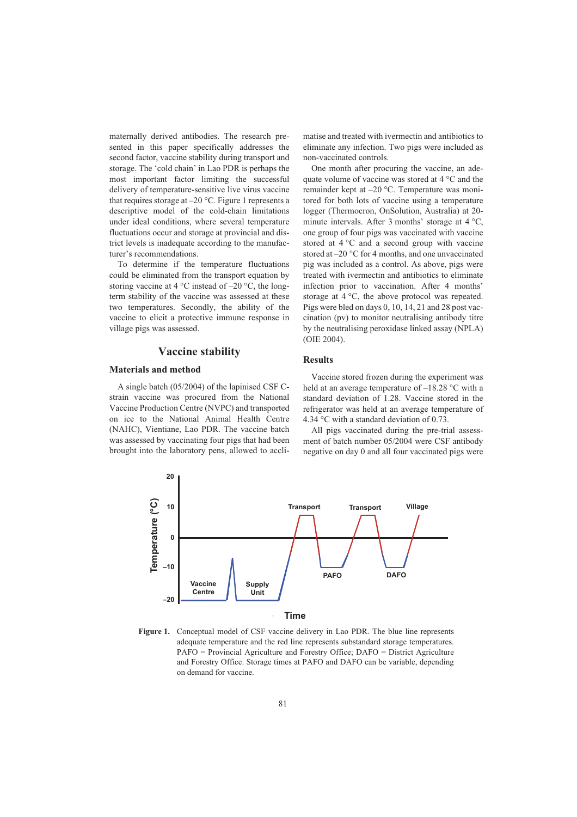maternally derived antibodies. The research presented in this paper specifically addresses the second factor, vaccine stability during transport and storage. The 'cold chain' in Lao PDR is perhaps the most important factor limiting the successful delivery of temperature-sensitive live virus vaccine that requires storage at  $-20$  °C. Figure 1 represents a descriptive model of the cold-chain limitations under ideal conditions, where several temperature fluctuations occur and storage at provincial and district levels is inadequate according to the manufacturer's recommendations.

To determine if the temperature fluctuations could be eliminated from the transport equation by storing vaccine at 4  $\rm{^{\circ}C}$  instead of  $-20$   $\rm{^{\circ}C}$ , the longterm stability of the vaccine was assessed at these two temperatures. Secondly, the ability of the vaccine to elicit a protective immune response in village pigs was assessed.

#### **Vaccine stability**

#### **Materials and method**

A single batch (05/2004) of the lapinised CSF Cstrain vaccine was procured from the National Vaccine Production Centre (NVPC) and transported on ice to the National Animal Health Centre (NAHC), Vientiane, Lao PDR. The vaccine batch was assessed by vaccinating four pigs that had been brought into the laboratory pens, allowed to acclimatise and treated with ivermectin and antibiotics to eliminate any infection. Two pigs were included as non-vaccinated controls.

One month after procuring the vaccine, an adequate volume of vaccine was stored at 4 °C and the remainder kept at –20 °C. Temperature was monitored for both lots of vaccine using a temperature logger (Thermocron, OnSolution, Australia) at 20 minute intervals. After 3 months' storage at 4 °C, one group of four pigs was vaccinated with vaccine stored at 4 °C and a second group with vaccine stored at –20 °C for 4 months, and one unvaccinated pig was included as a control. As above, pigs were treated with ivermectin and antibiotics to eliminate infection prior to vaccination. After 4 months' storage at 4 °C, the above protocol was repeated. Pigs were bled on days 0, 10, 14, 21 and 28 post vaccination (pv) to monitor neutralising antibody titre by the neutralising peroxidase linked assay (NPLA) (OIE 2004).

#### **Results**

Vaccine stored frozen during the experiment was held at an average temperature of  $-18.28$  °C with a standard deviation of 1.28. Vaccine stored in the refrigerator was held at an average temperature of 4.34 °C with a standard deviation of 0.73.

All pigs vaccinated during the pre-trial assessment of batch number 05/2004 were CSF antibody negative on day 0 and all four vaccinated pigs were



**Figure 1.** Conceptual model of CSF vaccine delivery in Lao PDR. The blue line represents adequate temperature and the red line represents substandard storage temperatures. PAFO = Provincial Agriculture and Forestry Office; DAFO = District Agriculture and Forestry Office. Storage times at PAFO and DAFO can be variable, depending on demand for vaccine.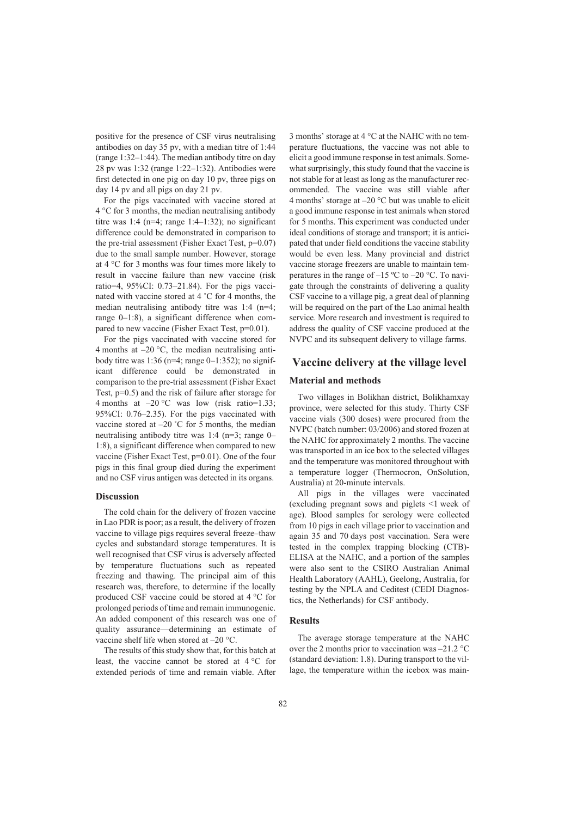positive for the presence of CSF virus neutralising antibodies on day 35 pv, with a median titre of 1:44 (range 1:32–1:44). The median antibody titre on day 28 pv was 1:32 (range 1:22–1:32). Antibodies were first detected in one pig on day 10 pv, three pigs on day 14 pv and all pigs on day 21 pv.

For the pigs vaccinated with vaccine stored at 4 °C for 3 months, the median neutralising antibody titre was 1:4 (n=4; range 1:4-1:32); no significant difference could be demonstrated in comparison to the pre-trial assessment (Fisher Exact Test, p=0.07) due to the small sample number. However, storage at 4 °C for 3 months was four times more likely to result in vaccine failure than new vaccine (risk ratio=4, 95%CI: 0.73–21.84). For the pigs vaccinated with vaccine stored at 4 ˚C for 4 months, the median neutralising antibody titre was 1:4 (n=4; range 0–1:8), a significant difference when compared to new vaccine (Fisher Exact Test, p=0.01).

For the pigs vaccinated with vaccine stored for 4 months at  $-20$  °C, the median neutralising antibody titre was  $1:36$  (n=4; range 0–1:352); no significant difference could be demonstrated in comparison to the pre-trial assessment (Fisher Exact Test, p=0.5) and the risk of failure after storage for 4 months at  $-20$  °C was low (risk ratio=1.33; 95%CI: 0.76–2.35). For the pigs vaccinated with vaccine stored at –20 °C for 5 months, the median neutralising antibody titre was 1:4 (n=3; range 0– 1:8), a significant difference when compared to new vaccine (Fisher Exact Test, p=0.01). One of the four pigs in this final group died during the experiment and no CSF virus antigen was detected in its organs.

#### **Discussion**

The cold chain for the delivery of frozen vaccine in Lao PDR is poor; as a result, the delivery of frozen vaccine to village pigs requires several freeze–thaw cycles and substandard storage temperatures. It is well recognised that CSF virus is adversely affected by temperature fluctuations such as repeated freezing and thawing. The principal aim of this research was, therefore, to determine if the locally produced CSF vaccine could be stored at 4 °C for prolonged periods of time and remain immunogenic. An added component of this research was one of quality assurance—determining an estimate of vaccine shelf life when stored at –20 °C.

The results of this study show that, for this batch at least, the vaccine cannot be stored at  $4^{\circ}$ C for extended periods of time and remain viable. After 3 months' storage at 4 °C at the NAHC with no temperature fluctuations, the vaccine was not able to elicit a good immune response in test animals. Somewhat surprisingly, this study found that the vaccine is not stable for at least as long as the manufacturer recommended. The vaccine was still viable after 4 months' storage at  $-20$  °C but was unable to elicit a good immune response in test animals when stored for 5 months. This experiment was conducted under ideal conditions of storage and transport; it is anticipated that under field conditions the vaccine stability would be even less. Many provincial and district vaccine storage freezers are unable to maintain temperatures in the range of  $-15 \degree C$  to  $-20 \degree C$ . To navigate through the constraints of delivering a quality CSF vaccine to a village pig, a great deal of planning will be required on the part of the Lao animal health service. More research and investment is required to address the quality of CSF vaccine produced at the NVPC and its subsequent delivery to village farms.

#### **Vaccine delivery at the village level**

#### **Material and methods**

Two villages in Bolikhan district, Bolikhamxay province, were selected for this study. Thirty CSF vaccine vials (300 doses) were procured from the NVPC (batch number: 03/2006) and stored frozen at the NAHC for approximately 2 months. The vaccine was transported in an ice box to the selected villages and the temperature was monitored throughout with a temperature logger (Thermocron, OnSolution, Australia) at 20-minute intervals.

All pigs in the villages were vaccinated (excluding pregnant sows and piglets <1 week of age). Blood samples for serology were collected from 10 pigs in each village prior to vaccination and again 35 and 70 days post vaccination. Sera were tested in the complex trapping blocking (CTB)- ELISA at the NAHC, and a portion of the samples were also sent to the CSIRO Australian Animal Health Laboratory (AAHL), Geelong, Australia, for testing by the NPLA and Ceditest (CEDI Diagnostics, the Netherlands) for CSF antibody.

#### **Results**

The average storage temperature at the NAHC over the 2 months prior to vaccination was –21.2 °C (standard deviation: 1.8). During transport to the village, the temperature within the icebox was main